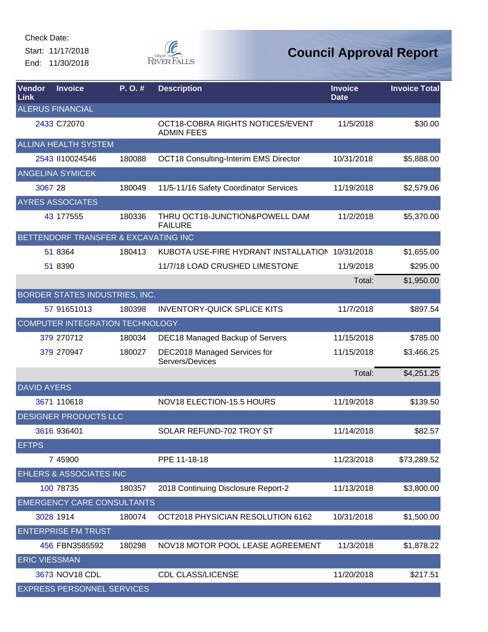Start: 11/17/2018 End: 11/30/2018



| <b>Vendor</b><br>Link | <b>Invoice</b>                       | $P. O.$ # | <b>Description</b>                                    | <b>Invoice</b><br><b>Date</b> | <b>Invoice Total</b> |
|-----------------------|--------------------------------------|-----------|-------------------------------------------------------|-------------------------------|----------------------|
|                       | <b>ALERUS FINANCIAL</b>              |           |                                                       |                               |                      |
|                       | 2433 C72070                          |           | OCT18-COBRA RIGHTS NOTICES/EVENT<br><b>ADMIN FEES</b> | 11/5/2018                     | \$30.00              |
|                       | <b>ALLINA HEALTH SYSTEM</b>          |           |                                                       |                               |                      |
|                       | 2543 II10024546                      | 180088    | <b>OCT18 Consulting-Interim EMS Director</b>          | 10/31/2018                    | \$5,888.00           |
|                       | <b>ANGELINA SYMICEK</b>              |           |                                                       |                               |                      |
| 3067 28               |                                      | 180049    | 11/5-11/16 Safety Coordinator Services                | 11/19/2018                    | \$2,579.06           |
|                       | <b>AYRES ASSOCIATES</b>              |           |                                                       |                               |                      |
|                       | 43 177555                            | 180336    | THRU OCT18-JUNCTION&POWELL DAM<br><b>FAILURE</b>      | 11/2/2018                     | \$5,370.00           |
|                       | BETTENDORF TRANSFER & EXCAVATING INC |           |                                                       |                               |                      |
|                       | 51 8364                              | 180413    | KUBOTA USE-FIRE HYDRANT INSTALLATION 10/31/2018       |                               | \$1,655.00           |
|                       | 51 8390                              |           | 11/7/18 LOAD CRUSHED LIMESTONE                        | 11/9/2018                     | \$295.00             |
|                       |                                      |           |                                                       | Total:                        | \$1,950.00           |
|                       | BORDER STATES INDUSTRIES, INC.       |           |                                                       |                               |                      |
|                       | 57 91651013                          | 180398    | <b>INVENTORY-QUICK SPLICE KITS</b>                    | 11/7/2018                     | \$897.54             |
|                       | COMPUTER INTEGRATION TECHNOLOGY      |           |                                                       |                               |                      |
|                       | 379 270712                           | 180034    | DEC18 Managed Backup of Servers                       | 11/15/2018                    | \$785.00             |
|                       | 379 270947                           | 180027    | DEC2018 Managed Services for<br>Servers/Devices       | 11/15/2018                    | \$3,466.25           |
|                       |                                      |           |                                                       | Total:                        | \$4,251.25           |
| <b>DAVID AYERS</b>    |                                      |           |                                                       |                               |                      |
|                       | 3671 110618                          |           | NOV18 ELECTION-15.5 HOURS                             | 11/19/2018                    | \$139.50             |
|                       | <b>DESIGNER PRODUCTS LLC</b>         |           |                                                       |                               |                      |
|                       | 3616 936401                          |           | SOLAR REFUND-702 TROY ST                              | 11/14/2018                    | \$82.57              |
| <b>EFTPS</b>          |                                      |           |                                                       |                               |                      |
|                       | 7 45900                              |           | PPE 11-18-18                                          | 11/23/2018                    | \$73,289.52          |
|                       | <b>EHLERS &amp; ASSOCIATES INC</b>   |           |                                                       |                               |                      |
|                       | 100 78735                            | 180357    | 2018 Continuing Disclosure Report-2                   | 11/13/2018                    | \$3,800.00           |
|                       | <b>EMERGENCY CARE CONSULTANTS</b>    |           |                                                       |                               |                      |
|                       | 3028 1914                            | 180074    | OCT2018 PHYSICIAN RESOLUTION 6162                     | 10/31/2018                    | \$1,500.00           |
|                       | <b>ENTERPRISE FM TRUST</b>           |           |                                                       |                               |                      |
|                       | 456 FBN3585592                       | 180298    | NOV18 MOTOR POOL LEASE AGREEMENT                      | 11/3/2018                     | \$1,878.22           |
| <b>ERIC VIESSMAN</b>  |                                      |           |                                                       |                               |                      |
|                       | 3673 NOV18 CDL                       |           | <b>CDL CLASS/LICENSE</b>                              | 11/20/2018                    | \$217.51             |
|                       | <b>EXPRESS PERSONNEL SERVICES</b>    |           |                                                       |                               |                      |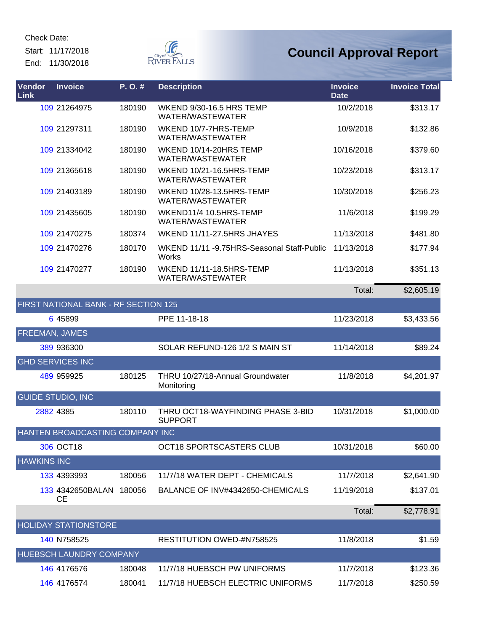Start: 11/17/2018 End: 11/30/2018



| <b>Vendor</b><br>Link | <b>Invoice</b>                       | P.O.#  | <b>Description</b>                                         | <b>Invoice</b><br><b>Date</b> | <b>Invoice Total</b> |
|-----------------------|--------------------------------------|--------|------------------------------------------------------------|-------------------------------|----------------------|
|                       | 109 21264975                         | 180190 | <b>WKEND 9/30-16.5 HRS TEMP</b><br>WATER/WASTEWATER        | 10/2/2018                     | \$313.17             |
|                       | 109 21297311                         | 180190 | WKEND 10/7-7HRS-TEMP<br>WATER/WASTEWATER                   | 10/9/2018                     | \$132.86             |
|                       | 109 21334042                         | 180190 | WKEND 10/14-20HRS TEMP<br>WATER/WASTEWATER                 | 10/16/2018                    | \$379.60             |
|                       | 109 21365618                         | 180190 | WKEND 10/21-16.5HRS-TEMP<br>WATER/WASTEWATER               | 10/23/2018                    | \$313.17             |
|                       | 109 21403189                         | 180190 | WKEND 10/28-13.5HRS-TEMP<br>WATER/WASTEWATER               | 10/30/2018                    | \$256.23             |
|                       | 109 21435605                         | 180190 | WKEND11/4 10.5HRS-TEMP<br>WATER/WASTEWATER                 | 11/6/2018                     | \$199.29             |
|                       | 109 21470275                         | 180374 | WKEND 11/11-27.5HRS JHAYES                                 | 11/13/2018                    | \$481.80             |
|                       | 109 21470276                         | 180170 | WKEND 11/11 -9.75HRS-Seasonal Staff-Public<br><b>Works</b> | 11/13/2018                    | \$177.94             |
|                       | 109 21470277                         | 180190 | WKEND 11/11-18.5HRS-TEMP<br>WATER/WASTEWATER               | 11/13/2018                    | \$351.13             |
|                       |                                      |        |                                                            | Total:                        | \$2,605.19           |
|                       | FIRST NATIONAL BANK - RF SECTION 125 |        |                                                            |                               |                      |
|                       | 6 45899                              |        | PPE 11-18-18                                               | 11/23/2018                    | \$3,433.56           |
| FREEMAN, JAMES        |                                      |        |                                                            |                               |                      |
|                       | 389 936300                           |        | SOLAR REFUND-126 1/2 S MAIN ST                             | 11/14/2018                    | \$89.24              |
|                       | <b>GHD SERVICES INC</b>              |        |                                                            |                               |                      |
|                       | 489 959925                           | 180125 | THRU 10/27/18-Annual Groundwater<br>Monitoring             | 11/8/2018                     | \$4,201.97           |
|                       | <b>GUIDE STUDIO, INC</b>             |        |                                                            |                               |                      |
|                       | 2882 4385                            | 180110 | THRU OCT18-WAYFINDING PHASE 3-BID<br><b>SUPPORT</b>        | 10/31/2018                    | \$1,000.00           |
|                       | HANTEN BROADCASTING COMPANY INC      |        |                                                            |                               |                      |
|                       | 306 OCT18                            |        | OCT18 SPORTSCASTERS CLUB                                   | 10/31/2018                    | \$60.00              |
| <b>HAWKINS INC</b>    |                                      |        |                                                            |                               |                      |
|                       | 133 4393993                          | 180056 | 11/7/18 WATER DEPT - CHEMICALS                             | 11/7/2018                     | \$2,641.90           |
|                       | 133 4342650BALAN<br>СE               | 180056 | BALANCE OF INV#4342650-CHEMICALS                           | 11/19/2018                    | \$137.01             |
|                       |                                      |        |                                                            | Total:                        | \$2,778.91           |
|                       | <b>HOLIDAY STATIONSTORE</b>          |        |                                                            |                               |                      |
|                       | 140 N758525                          |        | RESTITUTION OWED-#N758525                                  | 11/8/2018                     | \$1.59               |
|                       | HUEBSCH LAUNDRY COMPANY              |        |                                                            |                               |                      |
|                       | 146 4176576                          | 180048 | 11/7/18 HUEBSCH PW UNIFORMS                                | 11/7/2018                     | \$123.36             |
|                       | 146 4176574                          | 180041 | 11/7/18 HUEBSCH ELECTRIC UNIFORMS                          | 11/7/2018                     | \$250.59             |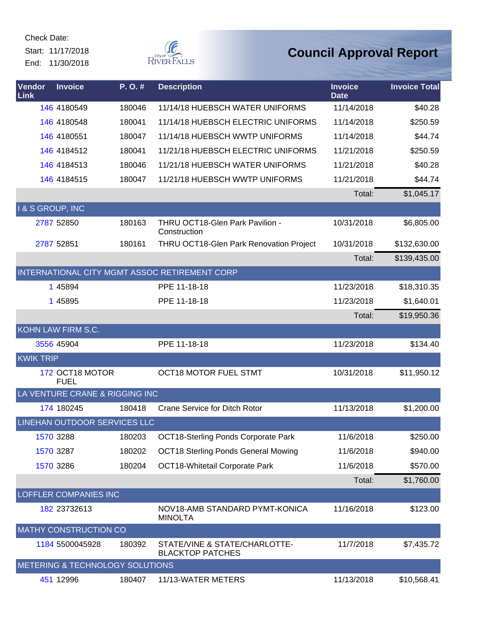Start: 11/17/2018 End: 11/30/2018



| Vendor<br>Link   | <b>Invoice</b>                  | P.O.#  | <b>Description</b>                                       | <b>Invoice</b><br><b>Date</b> | <b>Invoice Total</b> |
|------------------|---------------------------------|--------|----------------------------------------------------------|-------------------------------|----------------------|
|                  | 146 4180549                     | 180046 | 11/14/18 HUEBSCH WATER UNIFORMS                          | 11/14/2018                    | \$40.28              |
|                  | 146 4180548                     | 180041 | 11/14/18 HUEBSCH ELECTRIC UNIFORMS                       | 11/14/2018                    | \$250.59             |
|                  | 146 4180551                     | 180047 | 11/14/18 HUEBSCH WWTP UNIFORMS                           | 11/14/2018                    | \$44.74              |
|                  | 146 4184512                     | 180041 | 11/21/18 HUEBSCH ELECTRIC UNIFORMS                       | 11/21/2018                    | \$250.59             |
|                  | 146 4184513                     | 180046 | 11/21/18 HUEBSCH WATER UNIFORMS                          | 11/21/2018                    | \$40.28              |
|                  | 146 4184515                     | 180047 | 11/21/18 HUEBSCH WWTP UNIFORMS                           | 11/21/2018                    | \$44.74              |
|                  |                                 |        |                                                          | Total:                        | \$1,045.17           |
| I & S GROUP, INC |                                 |        |                                                          |                               |                      |
|                  | 2787 52850                      | 180163 | THRU OCT18-Glen Park Pavilion -<br>Construction          | 10/31/2018                    | \$6,805.00           |
|                  | 2787 52851                      | 180161 | THRU OCT18-Glen Park Renovation Project                  | 10/31/2018                    | \$132,630.00         |
|                  |                                 |        |                                                          | Total:                        | \$139,435.00         |
|                  |                                 |        | INTERNATIONAL CITY MGMT ASSOC RETIREMENT CORP            |                               |                      |
|                  | 1 45894                         |        | PPE 11-18-18                                             | 11/23/2018                    | \$18,310.35          |
|                  | 1 45895                         |        | PPE 11-18-18                                             | 11/23/2018                    | \$1,640.01           |
|                  |                                 |        |                                                          | Total:                        | \$19,950.36          |
|                  | KOHN LAW FIRM S.C.              |        |                                                          |                               |                      |
|                  | 3556 45904                      |        | PPE 11-18-18                                             | 11/23/2018                    | \$134.40             |
| <b>KWIK TRIP</b> |                                 |        |                                                          |                               |                      |
|                  | 172 OCT18 MOTOR<br><b>FUEL</b>  |        | <b>OCT18 MOTOR FUEL STMT</b>                             | 10/31/2018                    | \$11,950.12          |
|                  | LA VENTURE CRANE & RIGGING INC  |        |                                                          |                               |                      |
|                  | 174 180245                      | 180418 | <b>Crane Service for Ditch Rotor</b>                     | 11/13/2018                    | \$1,200.00           |
|                  | LINEHAN OUTDOOR SERVICES LLC    |        |                                                          |                               |                      |
|                  | 1570 3288                       | 180203 | <b>OCT18-Sterling Ponds Corporate Park</b>               | 11/6/2018                     | \$250.00             |
|                  | 1570 3287                       | 180202 | <b>OCT18 Sterling Ponds General Mowing</b>               | 11/6/2018                     | \$940.00             |
|                  | 1570 3286                       | 180204 | OCT18-Whitetail Corporate Park                           | 11/6/2018                     | \$570.00             |
|                  |                                 |        |                                                          | Total:                        | \$1,760.00           |
|                  | LOFFLER COMPANIES INC           |        |                                                          |                               |                      |
|                  | 182 23732613                    |        | NOV18-AMB STANDARD PYMT-KONICA<br><b>MINOLTA</b>         | 11/16/2018                    | \$123.00             |
|                  | <b>MATHY CONSTRUCTION CO</b>    |        |                                                          |                               |                      |
|                  | 1184 5500045928                 | 180392 | STATE/VINE & STATE/CHARLOTTE-<br><b>BLACKTOP PATCHES</b> | 11/7/2018                     | \$7,435.72           |
|                  | METERING & TECHNOLOGY SOLUTIONS |        |                                                          |                               |                      |
|                  | 451 12996                       | 180407 | 11/13-WATER METERS                                       | 11/13/2018                    | \$10,568.41          |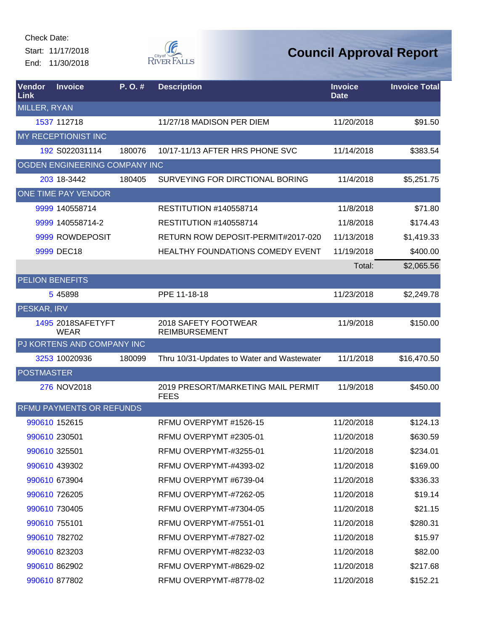Start: 11/17/2018 End: 11/30/2018



| Vendor<br>Link      | <b>Invoice</b>                   | P.O.#  | <b>Description</b>                                | <b>Invoice</b><br><b>Date</b> | <b>Invoice Total</b> |
|---------------------|----------------------------------|--------|---------------------------------------------------|-------------------------------|----------------------|
| <b>MILLER, RYAN</b> |                                  |        |                                                   |                               |                      |
|                     | 1537 112718                      |        | 11/27/18 MADISON PER DIEM                         | 11/20/2018                    | \$91.50              |
|                     | MY RECEPTIONIST INC              |        |                                                   |                               |                      |
|                     | 192 S022031114                   | 180076 | 10/17-11/13 AFTER HRS PHONE SVC                   | 11/14/2018                    | \$383.54             |
|                     | OGDEN ENGINEERING COMPANY INC    |        |                                                   |                               |                      |
|                     | 203 18-3442                      | 180405 | SURVEYING FOR DIRCTIONAL BORING                   | 11/4/2018                     | \$5,251.75           |
|                     | ONE TIME PAY VENDOR              |        |                                                   |                               |                      |
|                     | 9999 140558714                   |        | <b>RESTITUTION #140558714</b>                     | 11/8/2018                     | \$71.80              |
|                     | 9999 140558714-2                 |        | <b>RESTITUTION #140558714</b>                     | 11/8/2018                     | \$174.43             |
|                     | 9999 ROWDEPOSIT                  |        | RETURN ROW DEPOSIT-PERMIT#2017-020                | 11/13/2018                    | \$1,419.33           |
|                     | 9999 DEC18                       |        | HEALTHY FOUNDATIONS COMEDY EVENT                  | 11/19/2018                    | \$400.00             |
|                     |                                  |        |                                                   | Total:                        | \$2,065.56           |
|                     | <b>PELION BENEFITS</b>           |        |                                                   |                               |                      |
|                     | 5 45898                          |        | PPE 11-18-18                                      | 11/23/2018                    | \$2,249.78           |
| PESKAR, IRV         |                                  |        |                                                   |                               |                      |
|                     | 1495 2018SAFETYFT<br><b>WEAR</b> |        | 2018 SAFETY FOOTWEAR<br><b>REIMBURSEMENT</b>      | 11/9/2018                     | \$150.00             |
|                     | PJ KORTENS AND COMPANY INC       |        |                                                   |                               |                      |
|                     | 3253 10020936                    | 180099 | Thru 10/31-Updates to Water and Wastewater        | 11/1/2018                     | \$16,470.50          |
| <b>POSTMASTER</b>   |                                  |        |                                                   |                               |                      |
|                     | 276 NOV2018                      |        | 2019 PRESORT/MARKETING MAIL PERMIT<br><b>FEES</b> | 11/9/2018                     | \$450.00             |
|                     | RFMU PAYMENTS OR REFUNDS         |        |                                                   |                               |                      |
|                     | 990610 152615                    |        | RFMU OVERPYMT #1526-15                            | 11/20/2018                    | \$124.13             |
|                     | 990610 230501                    |        | RFMU OVERPYMT #2305-01                            | 11/20/2018                    | \$630.59             |
|                     | 990610 325501                    |        | RFMU OVERPYMT-#3255-01                            | 11/20/2018                    | \$234.01             |
|                     | 990610 439302                    |        | RFMU OVERPYMT-#4393-02                            | 11/20/2018                    | \$169.00             |
|                     | 990610 673904                    |        | RFMU OVERPYMT #6739-04                            | 11/20/2018                    | \$336.33             |
|                     | 990610 726205                    |        | RFMU OVERPYMT-#7262-05                            | 11/20/2018                    | \$19.14              |
|                     | 990610 730405                    |        | RFMU OVERPYMT-#7304-05                            | 11/20/2018                    | \$21.15              |
|                     | 990610 755101                    |        | RFMU OVERPYMT-#7551-01                            | 11/20/2018                    | \$280.31             |
|                     | 990610 782702                    |        | RFMU OVERPYMT-#7827-02                            | 11/20/2018                    | \$15.97              |
|                     | 990610 823203                    |        | RFMU OVERPYMT-#8232-03                            | 11/20/2018                    | \$82.00              |
|                     | 990610 862902                    |        | RFMU OVERPYMT-#8629-02                            | 11/20/2018                    | \$217.68             |
|                     | 990610 877802                    |        | RFMU OVERPYMT-#8778-02                            | 11/20/2018                    | \$152.21             |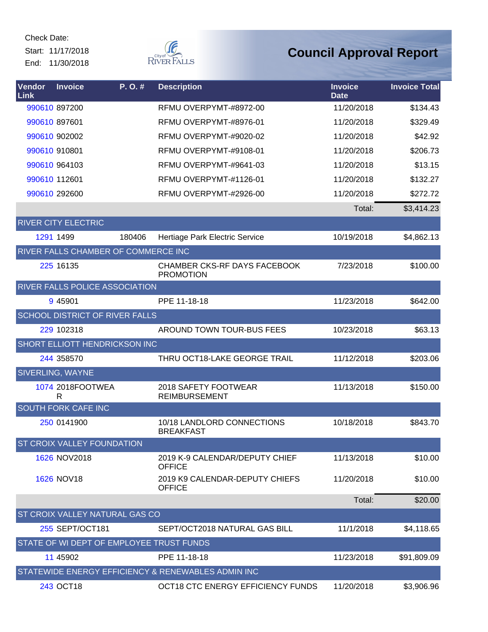Start: 11/17/2018 End: 11/30/2018



| <b>Vendor</b><br>Link      | <b>Invoice</b>        | $P. O.$ #                                | <b>Description</b>                                      | <b>Invoice</b><br><b>Date</b> | <b>Invoice Total</b> |
|----------------------------|-----------------------|------------------------------------------|---------------------------------------------------------|-------------------------------|----------------------|
|                            | 990610 897200         |                                          | RFMU OVERPYMT-#8972-00                                  | 11/20/2018                    | \$134.43             |
| 990610 897601              |                       |                                          | RFMU OVERPYMT-#8976-01                                  | 11/20/2018                    | \$329.49             |
|                            | 990610 902002         |                                          | RFMU OVERPYMT-#9020-02                                  | 11/20/2018                    | \$42.92              |
| 990610 910801              |                       |                                          | RFMU OVERPYMT-#9108-01                                  | 11/20/2018                    | \$206.73             |
|                            | 990610 964103         |                                          | RFMU OVERPYMT-#9641-03                                  | 11/20/2018                    | \$13.15              |
| 990610 112601              |                       |                                          | RFMU OVERPYMT-#1126-01                                  | 11/20/2018                    | \$132.27             |
|                            | 990610 292600         |                                          | RFMU OVERPYMT-#2926-00                                  | 11/20/2018                    | \$272.72             |
|                            |                       |                                          |                                                         | Total:                        | \$3,414.23           |
| <b>RIVER CITY ELECTRIC</b> |                       |                                          |                                                         |                               |                      |
|                            | 1291 1499             | 180406                                   | Hertiage Park Electric Service                          | 10/19/2018                    | \$4,862.13           |
|                            |                       | RIVER FALLS CHAMBER OF COMMERCE INC      |                                                         |                               |                      |
|                            | 225 16135             |                                          | <b>CHAMBER CKS-RF DAYS FACEBOOK</b><br><b>PROMOTION</b> | 7/23/2018                     | \$100.00             |
|                            |                       | RIVER FALLS POLICE ASSOCIATION           |                                                         |                               |                      |
|                            | 9 45901               |                                          | PPE 11-18-18                                            | 11/23/2018                    | \$642.00             |
|                            |                       | SCHOOL DISTRICT OF RIVER FALLS           |                                                         |                               |                      |
|                            | 229 102318            |                                          | AROUND TOWN TOUR-BUS FEES                               | 10/23/2018                    | \$63.13              |
|                            |                       | SHORT ELLIOTT HENDRICKSON INC            |                                                         |                               |                      |
|                            | 244 358570            |                                          | THRU OCT18-LAKE GEORGE TRAIL                            | 11/12/2018                    | \$203.06             |
| SIVERLING, WAYNE           |                       |                                          |                                                         |                               |                      |
|                            | 1074 2018FOOTWEA<br>R |                                          | 2018 SAFETY FOOTWEAR<br><b>REIMBURSEMENT</b>            | 11/13/2018                    | \$150.00             |
| <b>SOUTH FORK CAFE INC</b> |                       |                                          |                                                         |                               |                      |
|                            | 250 0141900           |                                          | 10/18 LANDLORD CONNECTIONS<br><b>BREAKFAST</b>          | 10/18/2018                    | \$843.70             |
|                            |                       | ST CROIX VALLEY FOUNDATION               |                                                         |                               |                      |
|                            | 1626 NOV2018          |                                          | 2019 K-9 CALENDAR/DEPUTY CHIEF<br><b>OFFICE</b>         | 11/13/2018                    | \$10.00              |
|                            | 1626 NOV18            |                                          | 2019 K9 CALENDAR-DEPUTY CHIEFS<br><b>OFFICE</b>         | 11/20/2018                    | \$10.00              |
|                            |                       |                                          |                                                         | Total:                        | \$20.00              |
|                            |                       | <b>ST CROIX VALLEY NATURAL GAS CO</b>    |                                                         |                               |                      |
|                            | 255 SEPT/OCT181       |                                          | SEPT/OCT2018 NATURAL GAS BILL                           | 11/1/2018                     | \$4,118.65           |
|                            |                       | STATE OF WI DEPT OF EMPLOYEE TRUST FUNDS |                                                         |                               |                      |
|                            | 11 45902              |                                          | PPE 11-18-18                                            | 11/23/2018                    | \$91,809.09          |
|                            |                       |                                          | STATEWIDE ENERGY EFFICIENCY & RENEWABLES ADMIN INC      |                               |                      |
|                            | 243 OCT18             |                                          | OCT18 CTC ENERGY EFFICIENCY FUNDS                       | 11/20/2018                    | \$3,906.96           |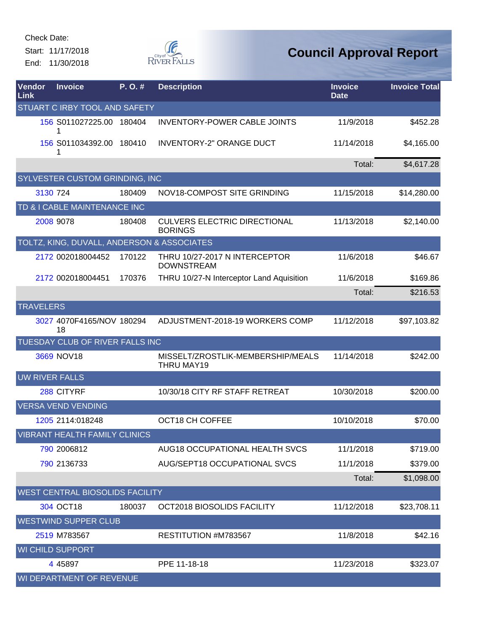Check Date: Start: 11/17/2018

End: 11/30/2018



| Vendor<br>Link | <b>Invoice</b>                             | P. O. # | <b>Description</b>                                     | <b>Invoice</b><br><b>Date</b> | <b>Invoice Total</b> |
|----------------|--------------------------------------------|---------|--------------------------------------------------------|-------------------------------|----------------------|
|                | STUART C IRBY TOOL AND SAFETY              |         |                                                        |                               |                      |
|                | 156 S011027225.00 180404                   |         | <b>INVENTORY-POWER CABLE JOINTS</b>                    | 11/9/2018                     | \$452.28             |
|                | 156 S011034392.00 180410                   |         | <b>INVENTORY-2" ORANGE DUCT</b>                        | 11/14/2018                    | \$4,165.00           |
|                |                                            |         |                                                        | Total:                        | \$4,617.28           |
|                | SYLVESTER CUSTOM GRINDING, INC             |         |                                                        |                               |                      |
|                | 3130 724                                   | 180409  | NOV18-COMPOST SITE GRINDING                            | 11/15/2018                    | \$14,280.00          |
|                | TD & I CABLE MAINTENANCE INC               |         |                                                        |                               |                      |
|                | 2008 9078                                  | 180408  | <b>CULVERS ELECTRIC DIRECTIONAL</b><br><b>BORINGS</b>  | 11/13/2018                    | \$2,140.00           |
|                | TOLTZ, KING, DUVALL, ANDERSON & ASSOCIATES |         |                                                        |                               |                      |
|                | 2172 002018004452                          | 170122  | THRU 10/27-2017 N INTERCEPTOR<br><b>DOWNSTREAM</b>     | 11/6/2018                     | \$46.67              |
|                | 2172 002018004451                          | 170376  | THRU 10/27-N Interceptor Land Aquisition               | 11/6/2018                     | \$169.86             |
|                |                                            |         |                                                        | Total:                        | \$216.53             |
|                | <b>TRAVELERS</b>                           |         |                                                        |                               |                      |
|                | 3027 4070F4165/NOV 180294<br>18            |         | ADJUSTMENT-2018-19 WORKERS COMP                        | 11/12/2018                    | \$97,103.82          |
|                | TUESDAY CLUB OF RIVER FALLS INC            |         |                                                        |                               |                      |
|                | 3669 NOV18                                 |         | MISSELT/ZROSTLIK-MEMBERSHIP/MEALS<br><b>THRU MAY19</b> | 11/14/2018                    | \$242.00             |
|                | <b>UW RIVER FALLS</b>                      |         |                                                        |                               |                      |
|                | 288 CITYRF                                 |         | 10/30/18 CITY RF STAFF RETREAT                         | 10/30/2018                    | \$200.00             |
|                | <b>VERSA VEND VENDING</b>                  |         |                                                        |                               |                      |
|                | 1205 2114:018248                           |         | OCT18 CH COFFEE                                        | 10/10/2018                    | \$70.00              |
|                | <b>VIBRANT HEALTH FAMILY CLINICS</b>       |         |                                                        |                               |                      |
|                | 790 2006812                                |         | AUG18 OCCUPATIONAL HEALTH SVCS                         | 11/1/2018                     | \$719.00             |
|                | 790 2136733                                |         | AUG/SEPT18 OCCUPATIONAL SVCS                           | 11/1/2018                     | \$379.00             |
|                |                                            |         |                                                        | Total:                        | \$1,098.00           |
|                | WEST CENTRAL BIOSOLIDS FACILITY            |         |                                                        |                               |                      |
|                | 304 OCT18                                  | 180037  | OCT2018 BIOSOLIDS FACILITY                             | 11/12/2018                    | \$23,708.11          |
|                | <b>WESTWIND SUPPER CLUB</b>                |         |                                                        |                               |                      |
|                | 2519 M783567                               |         | RESTITUTION #M783567                                   | 11/8/2018                     | \$42.16              |
|                | <b>WI CHILD SUPPORT</b>                    |         |                                                        |                               |                      |
|                | 4 4 5 8 9 7                                |         | PPE 11-18-18                                           | 11/23/2018                    | \$323.07             |
|                | WI DEPARTMENT OF REVENUE                   |         |                                                        |                               |                      |